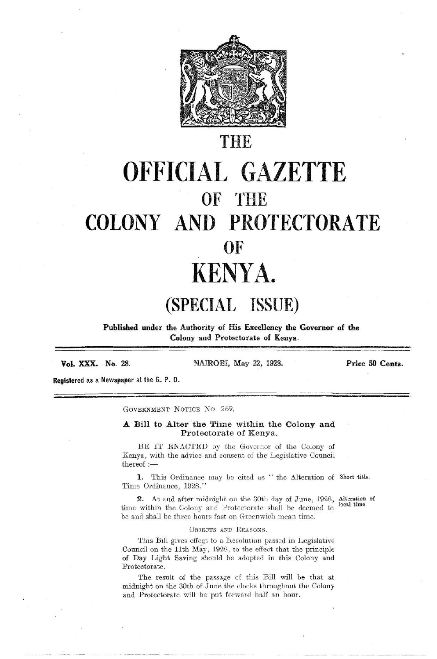

## OFFICIAL GAZETTE OF THE COLONY AND PROTECTORATE KENYA. THE<br>
COLONY AND PROTECTORATE<br>
THE<br>
COLONY AND PROTECTORATE<br>
OF<br>
KENYA.<br>
(SPECIAL ISSUE)<br>
Published under the Authority of His Excellency the Governor of the<br>
Colony and Protectorate of Kenya. THE<br>
COLONY AND PROTECTORATE<br>
THE<br>
COLONY AND PROTECTORATE<br>
OF<br>
KENYA.<br>
(SPECIAL ISSUE)<br>
Published under the Authority of His Excellency the Governor of the THE<br> **OFFICIAL GAZETTE**<br>
COLONY AND PROTECTORATE<br>
OF THE<br>
COLONY AND PROTECTORATE<br>
OF KENYA.<br>
(SPECIAL ISSUE)<br>
Published under the Authority of His Excellency the Governor of the<br>
Vol. XXX.—No. 28.<br>
NAIROBI, May 22, 1998. THE<br> **COLONY AND PROTECTORATE**<br>
COLONY AND PROTECTORATE<br>
OF KENYA.<br>
(SPECIAL ISSUE)<br>
Published under the Authority of His Excellency the Governor of the<br>
Vol. XXX.—No. 28.<br>
Published under the Authority of His Excellency t

## (SPECIAL ISSUE)

Published under the Authority of His Excellency the Governor of the Colony and Protectorate of Kenya.

Vol. XXX.—No.

28. NAIROBI, May 22, 1928.

Price 50 Cents.

Registered as a Newspaper at the G. P. 0.

GOVERNMENT NoTIcE No 269.

## A Bill to Alter the Time within the Colony and Protectorate of Kenya.

BE IT ENACTED by the Governor of the Colony of Kenya, with the advice and consent of the Legislative Council thereof :—

1. This Ordinance may be cited as "the Alteration of Short title. Time Ordinance, 1928.''

**2.** At and after midnight on the 30th day of June,  $1928$ , Alteration of time within the Colony and Protectorate shall be deemed te be and shall be three hours fast on Greenwich mean time. local time.

## OBJECTS AND REASONS.

NACTED by the Governor of readvice and consent of the Legis<br>rdinance may be cited as " the<br>e, 1928."<br>after midnight on the 30th day of<br>Colony and Protectorate shall<br>three hours fast on Greenwich me<br>OBJECTS AND REASONS.<br>ive This Bill gives effect to a Resolution passed in Legislative Council on the 11th May, 1928, to the effect that the principle of Day Light Saving should be adopted in this Colony and Protectorate.

The result of the passage of this Bill will be that at midnight on the 30th of June the clocks throughout the Colony and Protectorate will be put forward half an hour.